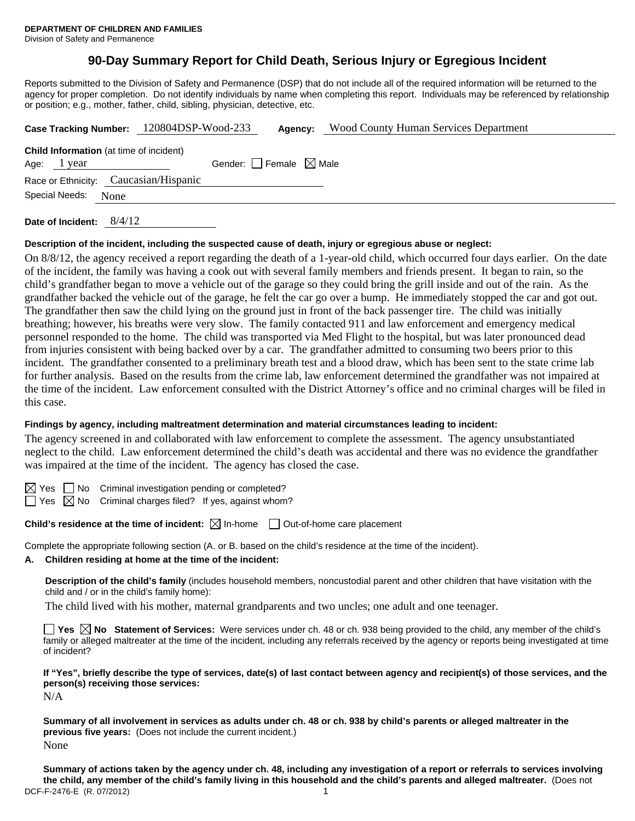# **90-Day Summary Report for Child Death, Serious Injury or Egregious Incident**

Reports submitted to the Division of Safety and Permanence (DSP) that do not include all of the required information will be returned to the agency for proper completion. Do not identify individuals by name when completing this report. Individuals may be referenced by relationship or position; e.g., mother, father, child, sibling, physician, detective, etc.

|                                                | Case Tracking Number: 120804DSP-Wood-233 | Agency: | <b>Wood County Human Services Department</b> |  |  |
|------------------------------------------------|------------------------------------------|---------|----------------------------------------------|--|--|
| <b>Child Information</b> (at time of incident) |                                          |         |                                              |  |  |
| Age: $1$ year                                  | Gender: $ $ Female $\boxtimes$ Male      |         |                                              |  |  |
| Race or Ethnicity: Caucasian/Hispanic          |                                          |         |                                              |  |  |
| Special Needs: None                            |                                          |         |                                              |  |  |
| 8/4/12<br>Date of Incident:                    |                                          |         |                                              |  |  |

#### **Description of the incident, including the suspected cause of death, injury or egregious abuse or neglect:**

On 8/8/12, the agency received a report regarding the death of a 1-year-old child, which occurred four days earlier. On the date of the incident, the family was having a cook out with several family members and friends present. It began to rain, so the child's grandfather began to move a vehicle out of the garage so they could bring the grill inside and out of the rain. As the grandfather backed the vehicle out of the garage, he felt the car go over a bump. He immediately stopped the car and got out. The grandfather then saw the child lying on the ground just in front of the back passenger tire. The child was initially breathing; however, his breaths were very slow. The family contacted 911 and law enforcement and emergency medical personnel responded to the home. The child was transported via Med Flight to the hospital, but was later pronounced dead from injuries consistent with being backed over by a car. The grandfather admitted to consuming two beers prior to this incident. The grandfather consented to a preliminary breath test and a blood draw, which has been sent to the state crime lab for further analysis. Based on the results from the crime lab, law enforcement determined the grandfather was not impaired at the time of the incident. Law enforcement consulted with the District Attorney's office and no criminal charges will be filed in this case.

#### **Findings by agency, including maltreatment determination and material circumstances leading to incident:**

The agency screened in and collaborated with law enforcement to complete the assessment. The agency unsubstantiated neglect to the child. Law enforcement determined the child's death was accidental and there was no evidence the grandfather was impaired at the time of the incident. The agency has closed the case.

 $\boxtimes$  Yes  $\Box$  No Criminal investigation pending or completed?

 $\Box$  Yes  $\boxtimes$  No Criminal charges filed? If yes, against whom?

**Child's residence at the time of incident:** ⊠ In-home □ Out-of-home care placement

Complete the appropriate following section (A. or B. based on the child's residence at the time of the incident).

#### **A. Children residing at home at the time of the incident:**

**Description of the child's family** (includes household members, noncustodial parent and other children that have visitation with the child and / or in the child's family home):

The child lived with his mother, maternal grandparents and two uncles; one adult and one teenager.

**Yes No Statement of Services:** Were services under ch. 48 or ch. 938 being provided to the child, any member of the child's family or alleged maltreater at the time of the incident, including any referrals received by the agency or reports being investigated at time of incident?

**If "Yes", briefly describe the type of services, date(s) of last contact between agency and recipient(s) of those services, and the person(s) receiving those services:** 

N/A

**Summary of all involvement in services as adults under ch. 48 or ch. 938 by child's parents or alleged maltreater in the previous five years:** (Does not include the current incident.) None

DCF-F-2476-E (R. 07/2012) 1 **Summary of actions taken by the agency under ch. 48, including any investigation of a report or referrals to services involving the child, any member of the child's family living in this household and the child's parents and alleged maltreater.** (Does not